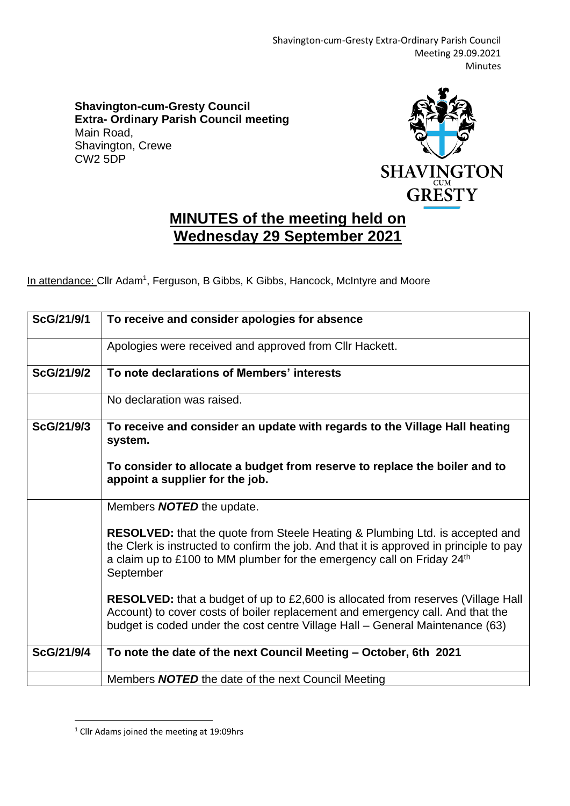**Shavington-cum-Gresty Council Extra- Ordinary Parish Council meeting** Main Road, Shavington, Crewe CW2 5DP



## **MINUTES of the meeting held on Wednesday 29 September 2021**

In attendance: Cllr Adam<sup>1</sup>, Ferguson, B Gibbs, K Gibbs, Hancock, McIntyre and Moore

| ScG/21/9/1 | To receive and consider apologies for absence                                                                                                                                                                                                                           |
|------------|-------------------------------------------------------------------------------------------------------------------------------------------------------------------------------------------------------------------------------------------------------------------------|
|            | Apologies were received and approved from CIIr Hackett.                                                                                                                                                                                                                 |
| ScG/21/9/2 | To note declarations of Members' interests                                                                                                                                                                                                                              |
|            | No declaration was raised.                                                                                                                                                                                                                                              |
| ScG/21/9/3 | To receive and consider an update with regards to the Village Hall heating<br>system.                                                                                                                                                                                   |
|            | To consider to allocate a budget from reserve to replace the boiler and to<br>appoint a supplier for the job.                                                                                                                                                           |
|            | Members <b>NOTED</b> the update.                                                                                                                                                                                                                                        |
|            | <b>RESOLVED:</b> that the quote from Steele Heating & Plumbing Ltd. is accepted and<br>the Clerk is instructed to confirm the job. And that it is approved in principle to pay<br>a claim up to £100 to MM plumber for the emergency call on Friday $24th$<br>September |
|            | <b>RESOLVED:</b> that a budget of up to £2,600 is allocated from reserves (Village Hall<br>Account) to cover costs of boiler replacement and emergency call. And that the<br>budget is coded under the cost centre Village Hall - General Maintenance (63)              |
| ScG/21/9/4 | To note the date of the next Council Meeting - October, 6th 2021                                                                                                                                                                                                        |
|            | Members <b>NOTED</b> the date of the next Council Meeting                                                                                                                                                                                                               |

<sup>&</sup>lt;sup>1</sup> Cllr Adams joined the meeting at 19:09hrs